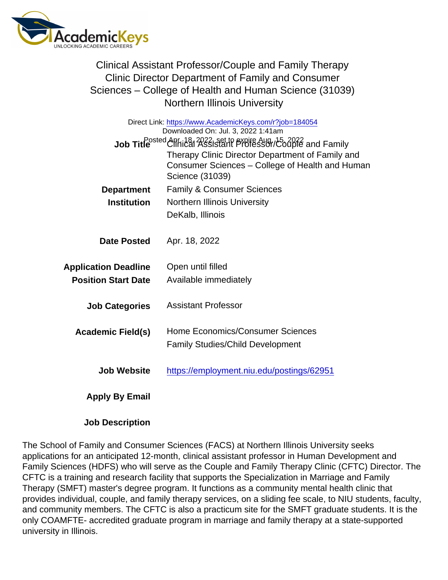Clinical Assistant Professor/Couple and Family Therapy Clinic Director Department of Family and Consumer Sciences – College of Health and Human Science (31039) Northern Illinois University

| Direct Link: https://www.AcademicKeys.com/r?job=184054<br>Downloaded On: Jul. 3, 2022 1:41am |                                                  |
|----------------------------------------------------------------------------------------------|--------------------------------------------------|
| Job Title <sup>Dosted</sup> Chhi <sup>28</sup> 1 2022; set to expire Aug. (562016 and Family |                                                  |
|                                                                                              | Therapy Clinic Director Department of Family and |
|                                                                                              | Consumer Sciences - College of Health and Human  |
|                                                                                              | Science (31039)                                  |
| Department                                                                                   | <b>Family &amp; Consumer Sciences</b>            |
| Institution                                                                                  | Northern Illinois University                     |
|                                                                                              | DeKalb, Illinois                                 |
|                                                                                              |                                                  |
| Date Posted                                                                                  | Apr. 18, 2022                                    |
|                                                                                              |                                                  |
| <b>Application Deadline</b>                                                                  | Open until filled                                |
| <b>Position Start Date</b>                                                                   | Available immediately                            |
|                                                                                              |                                                  |
| <b>Job Categories</b>                                                                        | <b>Assistant Professor</b>                       |
|                                                                                              |                                                  |
| Academic Field(s)                                                                            | Home Economics/Consumer Sciences                 |
|                                                                                              | <b>Family Studies/Child Development</b>          |
|                                                                                              |                                                  |
| Job Website                                                                                  | https://employment.niu.edu/postings/62951        |
|                                                                                              |                                                  |
| Apply By Email                                                                               |                                                  |
|                                                                                              |                                                  |

Job Description

The School of Family and Consumer Sciences (FACS) at Northern Illinois University seeks applications for an anticipated 12-month, clinical assistant professor in Human Development and Family Sciences (HDFS) who will serve as the Couple and Family Therapy Clinic (CFTC) Director. The CFTC is a training and research facility that supports the Specialization in Marriage and Family Therapy (SMFT) master's degree program. It functions as a community mental health clinic that provides individual, couple, and family therapy services, on a sliding fee scale, to NIU students, faculty, and community members. The CFTC is also a practicum site for the SMFT graduate students. It is the only COAMFTE- accredited graduate program in marriage and family therapy at a state-supported university in Illinois.